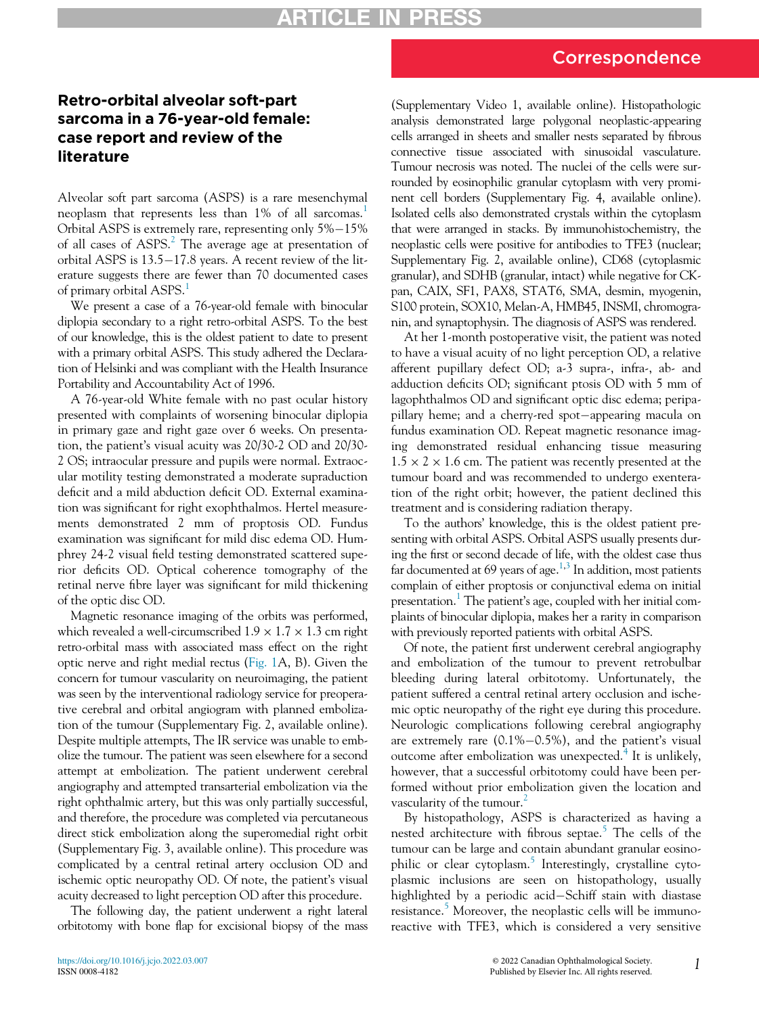## Retro-orbital alveolar soft-part sarcoma in a 76-year-old female: case report and review of the literature

Alveolar soft part sarcoma (ASPS) is a rare mesenchymal neoplasm that represents less than [1](#page-1-0)% of all sarcomas.<sup>1</sup> Orbital ASPS is extremely rare, representing only 5%-15% of all cases of ASPS.<sup>[2](#page-1-1)</sup> The average age at presentation of orbital ASPS is  $13.5-17.8$  years. A recent review of the literature suggests there are fewer than 70 documented cases of primary orbital ASPS.<sup>[1](#page-1-0)</sup>

We present a case of a 76-year-old female with binocular diplopia secondary to a right retro-orbital ASPS. To the best of our knowledge, this is the oldest patient to date to present with a primary orbital ASPS. This study adhered the Declaration of Helsinki and was compliant with the Health Insurance Portability and Accountability Act of 1996.

A 76-year-old White female with no past ocular history presented with complaints of worsening binocular diplopia in primary gaze and right gaze over 6 weeks. On presentation, the patient's visual acuity was 20/30-2 OD and 20/30- 2 OS; intraocular pressure and pupils were normal. Extraocular motility testing demonstrated a moderate supraduction deficit and a mild abduction deficit OD. External examination was significant for right exophthalmos. Hertel measurements demonstrated 2 mm of proptosis OD. Fundus examination was significant for mild disc edema OD. Humphrey 24-2 visual field testing demonstrated scattered superior deficits OD. Optical coherence tomography of the retinal nerve fibre layer was significant for mild thickening of the optic disc OD.

Magnetic resonance imaging of the orbits was performed, which revealed a well-circumscribed  $1.9 \times 1.7 \times 1.3$  cm right retro-orbital mass with associated mass effect on the right optic nerve and right medial rectus ([Fig. 1](#page-1-2)A, B). Given the concern for tumour vascularity on neuroimaging, the patient was seen by the interventional radiology service for preoperative cerebral and orbital angiogram with planned embolization of the tumour (Supplementary Fig. 2, available online). Despite multiple attempts, The IR service was unable to embolize the tumour. The patient was seen elsewhere for a second attempt at embolization. The patient underwent cerebral angiography and attempted transarterial embolization via the right ophthalmic artery, but this was only partially successful, and therefore, the procedure was completed via percutaneous direct stick embolization along the superomedial right orbit (Supplementary Fig. 3, available online). This procedure was complicated by a central retinal artery occlusion OD and ischemic optic neuropathy OD. Of note, the patient's visual acuity decreased to light perception OD after this procedure.

The following day, the patient underwent a right lateral orbitotomy with bone flap for excisional biopsy of the mass

(Supplementary Video 1, available online). Histopathologic analysis demonstrated large polygonal neoplastic-appearing cells arranged in sheets and smaller nests separated by fibrous connective tissue associated with sinusoidal vasculature. Tumour necrosis was noted. The nuclei of the cells were surrounded by eosinophilic granular cytoplasm with very prominent cell borders (Supplementary Fig. 4, available online). Isolated cells also demonstrated crystals within the cytoplasm that were arranged in stacks. By immunohistochemistry, the neoplastic cells were positive for antibodies to TFE3 (nuclear; Supplementary Fig. 2, available online), CD68 (cytoplasmic granular), and SDHB (granular, intact) while negative for CKpan, CAIX, SF1, PAX8, STAT6, SMA, desmin, myogenin, S100 protein, SOX10, Melan-A, HMB45, INSMI, chromogranin, and synaptophysin. The diagnosis of ASPS was rendered.

At her 1-month postoperative visit, the patient was noted to have a visual acuity of no light perception OD, a relative afferent pupillary defect OD; a-3 supra-, infra-, ab- and adduction deficits OD; significant ptosis OD with 5 mm of lagophthalmos OD and significant optic disc edema; peripapillary heme; and a cherry-red spot-appearing macula on fundus examination OD. Repeat magnetic resonance imaging demonstrated residual enhancing tissue measuring  $1.5 \times 2 \times 1.6$  cm. The patient was recently presented at the tumour board and was recommended to undergo exenteration of the right orbit; however, the patient declined this treatment and is considering radiation therapy.

To the authors' knowledge, this is the oldest patient presenting with orbital ASPS. Orbital ASPS usually presents during the first or second decade of life, with the oldest case thus far documented at 69 years of age.<sup>1[,3](#page-1-3)</sup> In addition, most patients complain of either proptosis or conjunctival edema on initial presentation.<sup>[1](#page-1-0)</sup> The patient's age, coupled with her initial complaints of binocular diplopia, makes her a rarity in comparison with previously reported patients with orbital ASPS.

Of note, the patient first underwent cerebral angiography and embolization of the tumour to prevent retrobulbar bleeding during lateral orbitotomy. Unfortunately, the patient suffered a central retinal artery occlusion and ischemic optic neuropathy of the right eye during this procedure. Neurologic complications following cerebral angiography are extremely rare  $(0.1\% - 0.5\%)$ , and the patient's visual outcome after embolization was unexpected.<sup>[4](#page-1-4)</sup> It is unlikely, however, that a successful orbitotomy could have been performed without prior embolization given the location and vascularity of the tumour.<sup>[2](#page-1-1)</sup>

By histopathology, ASPS is characterized as having a nested architecture with fibrous septae.<sup>[5](#page-1-5)</sup> The cells of the tumour can be large and contain abundant granular eosinophilic or clear cytoplasm. $5$  Interestingly, crystalline cytoplasmic inclusions are seen on histopathology, usually highlighted by a periodic acid-Schiff stain with diastase resistance.<sup>[5](#page-1-5)</sup> Moreover, the neoplastic cells will be immunoreactive with TFE3, which is considered a very sensitive